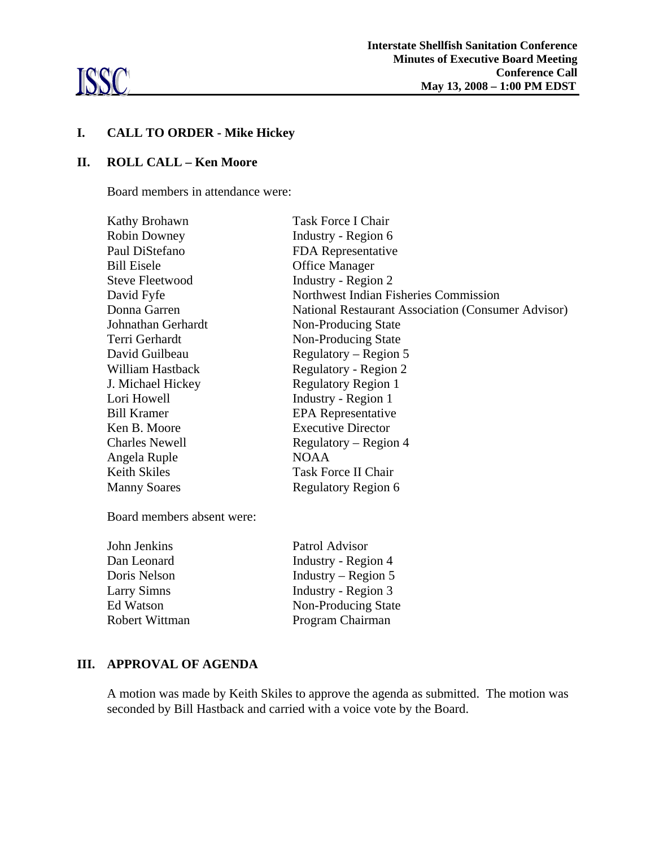

# **I. CALL TO ORDER - Mike Hickey**

#### **II. ROLL CALL – Ken Moore**

Board members in attendance were:

| Kathy Brohawn          | Task Force I Chair                                 |
|------------------------|----------------------------------------------------|
| Robin Downey           | Industry - Region 6                                |
| Paul DiStefano         | FDA Representative                                 |
| <b>Bill Eisele</b>     | <b>Office Manager</b>                              |
| <b>Steve Fleetwood</b> | Industry - Region 2                                |
| David Fyfe             | Northwest Indian Fisheries Commission              |
| Donna Garren           | National Restaurant Association (Consumer Advisor) |
| Johnathan Gerhardt     | Non-Producing State                                |
| Terri Gerhardt         | Non-Producing State                                |
| David Guilbeau         | Regulatory – Region 5                              |
| William Hastback       | Regulatory - Region 2                              |
| J. Michael Hickey      | <b>Regulatory Region 1</b>                         |
| Lori Howell            | Industry - Region 1                                |
| <b>Bill Kramer</b>     | <b>EPA</b> Representative                          |
| Ken B. Moore           | <b>Executive Director</b>                          |
| <b>Charles Newell</b>  | Regulatory – Region 4                              |
| Angela Ruple           | <b>NOAA</b>                                        |
| <b>Keith Skiles</b>    | <b>Task Force II Chair</b>                         |
| <b>Manny Soares</b>    | <b>Regulatory Region 6</b>                         |

Board members absent were:

| John Jenkins   | Patrol Advisor        |
|----------------|-----------------------|
| Dan Leonard    | Industry - Region 4   |
| Doris Nelson   | Industry – Region $5$ |
| Larry Simns    | Industry - Region 3   |
| Ed Watson      | Non-Producing State   |
| Robert Wittman | Program Chairman      |

#### **III. APPROVAL OF AGENDA**

A motion was made by Keith Skiles to approve the agenda as submitted. The motion was seconded by Bill Hastback and carried with a voice vote by the Board.